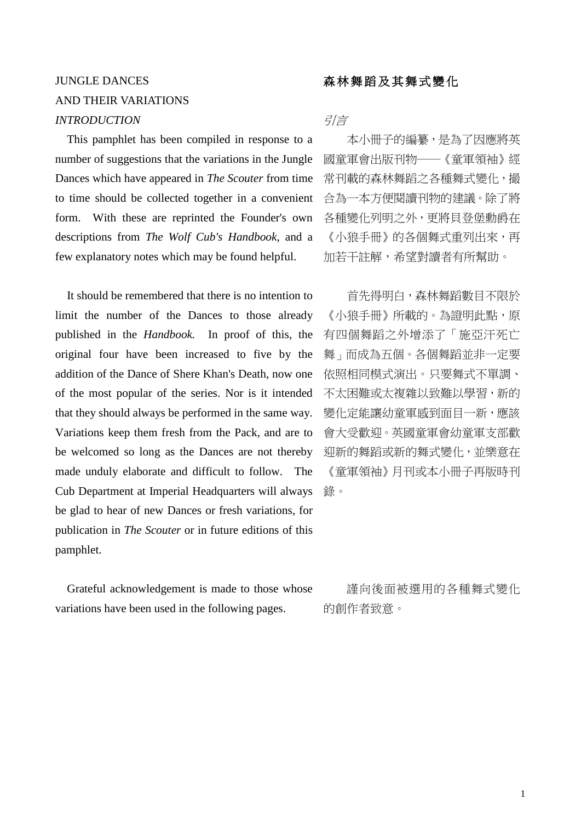# JUNGLE DANCES AND THEIR VARIATIONS *INTRODUCTION* 引言

 This pamphlet has been compiled in response to a number of suggestions that the variations in the Jungle Dances which have appeared in *The Scouter* from time to time should be collected together in a convenient form. With these are reprinted the Founder's own descriptions from *The Wolf Cub's Handbook*, and a few explanatory notes which may be found helpful.

It should be remembered that there is no intention to limit the number of the Dances to those already published in the *Handbook.* In proof of this, the original four have been increased to five by the addition of the Dance of Shere Khan's Death, now one of the most popular of the series. Nor is it intended that they should always be performed in the same way. Variations keep them fresh from the Pack, and are to be welcomed so long as the Dances are not thereby made unduly elaborate and difficult to follow. The Cub Department at Imperial Headquarters will always be glad to hear of new Dances or fresh variations, for publication in *The Scouter* or in future editions of this pamphlet.

Grateful acknowledgement is made to those whose variations have been used in the following pages.

## 森林舞蹈及其舞式變化

本小冊子的編纂,是為了因應將英 國童軍會出版刊物──《童軍領袖》經 常刊載的森林舞蹈之各種舞式變化, 撮 合為一本方便閱讀刊物的建議。除了將 各種變化列明之外,更將貝登堡勳爵在 《小狼手冊》的各個舞式重列出來,再 加若干註解,希望對讀者有所幫助。

首先得明白,森林舞蹈數目不限於 《小狼手冊》所載的。為證明此點,原 有四個舞蹈之外增添了「施亞汗死亡 舞」而成為五個。各個舞蹈並非一定要 依照相同模式演出。只要舞式不單調、 不太困難或太複雜以致難以學習,新的 變化定能讓幼童軍感到面目一新,應該 會大受歡迎。英國童軍會幼童軍支部歡 迎新的舞蹈或新的舞式變化,並樂意在 《童軍領袖》月刊或本小冊子再版時刊 錄。

謹向後面被選用的各種舞式變化 的創作者致意。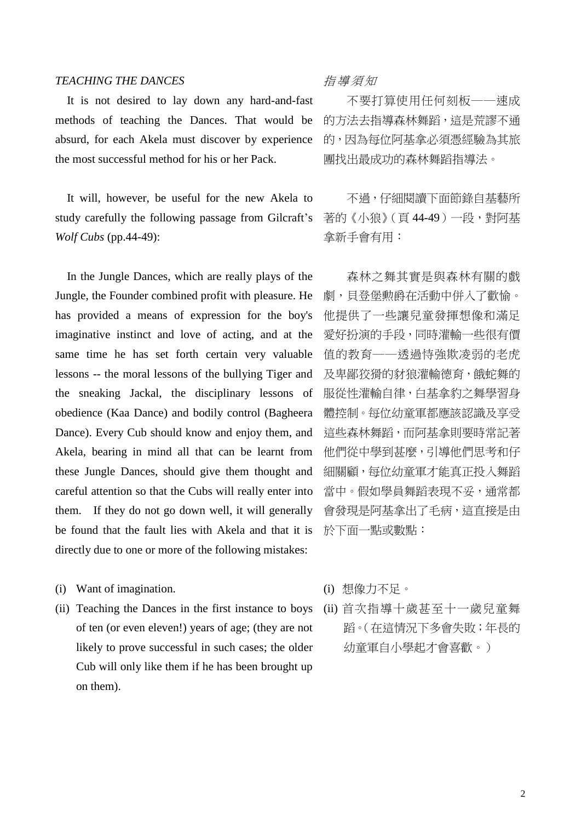### *TEACHING THE DANCES* 指導 須 知

It is not desired to lay down any hard-and-fast methods of teaching the Dances. That would be absurd, for each Akela must discover by experience the most successful method for his or her Pack.

It will, however, be useful for the new Akela to study carefully the following passage from Gilcraft's *Wolf Cubs* (pp.44-49):

In the Jungle Dances, which are really plays of the Jungle, the Founder combined profit with pleasure. He has provided a means of expression for the boy's imaginative instinct and love of acting, and at the same time he has set forth certain very valuable lessons -- the moral lessons of the bullying Tiger and the sneaking Jackal, the disciplinary lessons of obedience (Kaa Dance) and bodily control (Bagheera Dance). Every Cub should know and enjoy them, and Akela, bearing in mind all that can be learnt from these Jungle Dances, should give them thought and careful attention so that the Cubs will really enter into them. If they do not go down well, it will generally be found that the fault lies with Akela and that it is directly due to one or more of the following mistakes:

- (i) Want of imagination.
- (ii) Teaching the Dances in the first instance to boys of ten (or even eleven!) years of age; (they are not likely to prove successful in such cases; the older Cub will only like them if he has been brought up on them).

不要打算使用任何刻板──速成 的方法去指導森林舞蹈,這是荒謬不通 的,因為每位阿基拿必須憑經驗為其旅 團找出最成功的森林舞蹈指導法。

不過,仔細閱讀下面節錄自基藝所 著的《小狼》(頁44-49)一段,對阿基 拿新手會有用:

森林之舞其實是與森林有關的戲 劇,貝登堡勲爵在活動中併入了歡愉。 他提供了一些讓兒童發揮想像和滿足 愛好扮演的手段,同時灌輸一些很有價 值的教育──透過恃強欺凌弱的老虎 及卑鄙狡猾的豺狼灌輸德育,餓蛇舞的 服從性灌輸自律,白基拿豹之舞學習身 體控制。每位幼童軍都應該認識及享受 這些森林舞蹈,而阿基拿則要時常記著 他們從中學到甚麼,引導他們思考和仔 細關顧,每位幼童軍才能真正投入舞蹈 當中。假如學員舞蹈表現不妥,通常都 會發現是阿基拿出了毛病,這直接是由 於下面一點或數點:

- (i) 想像力不足。
- (ii) 首次指導十歲甚至十一歲兒童舞 蹈。(在這情況下多會失敗;年長的 幼童軍自小學起才會喜歡。)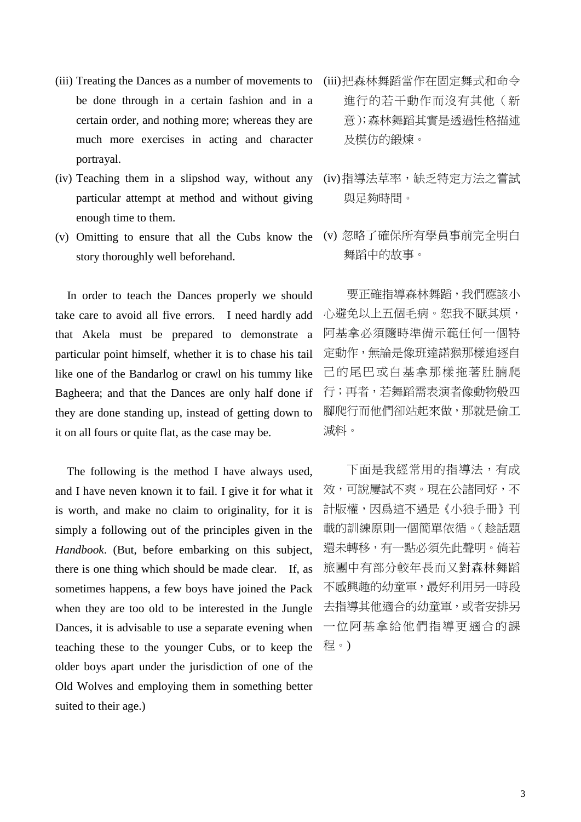- (iii) Treating the Dances as a number of movements to be done through in a certain fashion and in a certain order, and nothing more; whereas they are much more exercises in acting and character portrayal.
- (iv) Teaching them in a slipshod way, without any particular attempt at method and without giving enough time to them.
- (v) Omitting to ensure that all the Cubs know the story thoroughly well beforehand.

 In order to teach the Dances properly we should take care to avoid all five errors. I need hardly add that Akela must be prepared to demonstrate a particular point himself, whether it is to chase his tail like one of the Bandarlog or crawl on his tummy like Bagheera; and that the Dances are only half done if they are done standing up, instead of getting down to it on all fours or quite flat, as the case may be.

 The following is the method I have always used, and I have neven known it to fail. I give it for what it is worth, and make no claim to originality, for it is simply a following out of the principles given in the *Handbook*. (But, before embarking on this subject, there is one thing which should be made clear. If, as sometimes happens, a few boys have joined the Pack when they are too old to be interested in the Jungle Dances, it is advisable to use a separate evening when teaching these to the younger Cubs, or to keep the older boys apart under the jurisdiction of one of the Old Wolves and employing them in something better suited to their age.)

- (iii)把森林舞蹈當作在固定舞式和命令 進行的若干動作而沒有其他(新 意);森林舞蹈其實是透過性格描述 及模仿的鍛煉。
- (iv)指導法草率,缺乏特定方法之嘗試 與足夠時間。
- (v) 忽略了確保所有學員事前完全明白 舞蹈中的故事。

要正確指導森林舞蹈,我們應該小 心避免以上五個毛病。恕我不厭其煩, 阿基拿必須隨時準備示範任何一個特 定動作,無論是像班達諾猴那樣追逐自 己的尾巴或白基拿那樣拖著肚腩爬 行;再者,若舞蹈需表演者像動物般四 腳爬行而他們卻站起來做,那就是偷工 減料。

下面是我經常用的指導法,有成 效,可說屢試不爽。現在公諸同好,不 計版權,因爲這不過是《小狼手冊》刊 載的訓練原則一個簡單依循。(趁話題 還未轉移,有一點必須先此聲明。倘若 旅團中有部分較年長而又對森林舞蹈 不感興趣的幼童軍,最好利用另一時段 去指導其他適合的幼童軍,或者安排另 一位阿基拿給他們指導更適合的課 程。)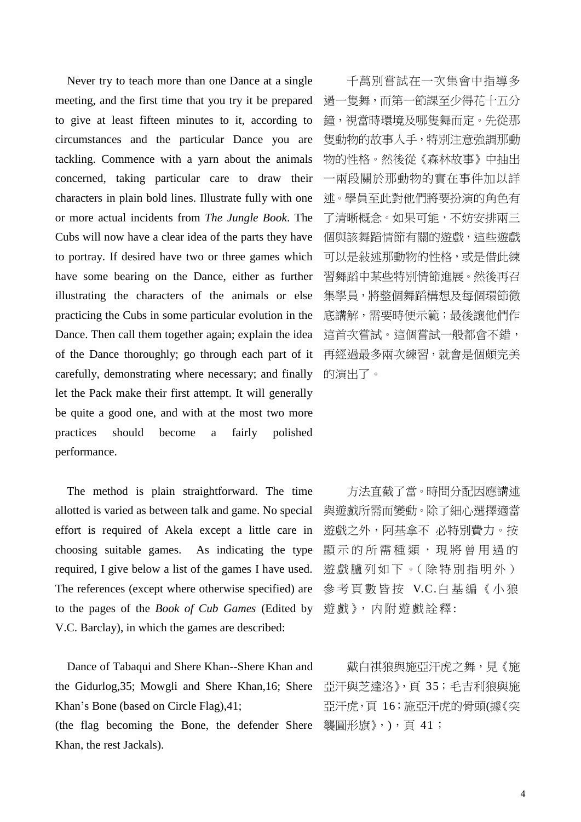Never try to teach more than one Dance at a single meeting, and the first time that you try it be prepared to give at least fifteen minutes to it, according to circumstances and the particular Dance you are tackling. Commence with a yarn about the animals concerned, taking particular care to draw their characters in plain bold lines. Illustrate fully with one or more actual incidents from *The Jungle Book*. The Cubs will now have a clear idea of the parts they have to portray. If desired have two or three games which have some bearing on the Dance, either as further illustrating the characters of the animals or else practicing the Cubs in some particular evolution in the Dance. Then call them together again; explain the idea of the Dance thoroughly; go through each part of it carefully, demonstrating where necessary; and finally let the Pack make their first attempt. It will generally be quite a good one, and with at the most two more practices should become a fairly polished performance.

 The method is plain straightforward. The time allotted is varied as between talk and game. No special effort is required of Akela except a little care in choosing suitable games. As indicating the type required, I give below a list of the games I have used. The references (except where otherwise specified) are to the pages of the *Book of Cub Games* (Edited by V.C. Barclay), in which the games are described:

Dance of Tabaqui and Shere Khan--Shere Khan and the Gidurlog,35; Mowgli and Shere Khan,16; Shere Khan's Bone (based on Circle Flag),41;

(the flag becoming the Bone, the defender Shere Khan, the rest Jackals).

千萬別嘗試在一次集會中指導多 過一隻舞,而第一節課至少得花十五分 鐘,視當時環境及哪隻舞而定。先從那 隻動物的故事入手,特別注意強調那動 物的性格。然後從《森林故事》中抽出 一兩段關於那動物的實在事件加以詳 述。學員至此對他們將要扮演的角色有 了清晰概念。如果可能,不妨安排兩三 個與該舞蹈情節有關的遊戲,這些遊戲 可以是敍述那動物的性格,或是借此練 習舞蹈中某些特別情節進展。然後再召 集學員,將整個舞蹈構想及每個環節徹 底講解,需要時便示範;最後讓他們作 這首次嘗試。這個嘗試一般都會不錯, 再經過最多兩次練習,就會是個頗完美 的演出了。

方法直截了當。時間分配因應講述 與遊戲所需而變動。除了細心選擇適當 遊戲之外,阿基拿不 必特別費力。按 顯示的所需種類,現將曾用過的 遊戲臚列如下。(除特別指明外) 參考頁數皆按 V.C.白基編《小狼 遊戲》,内附遊戲詮釋:

戴白祺狼與施亞汗虎之舞,見《施 亞汗與芝達洛》,頁 35;毛吉利狼與施 亞汗虎,頁 16;施亞汗虎的骨頭(據《突 襲圓形旗》, ), 頁 41;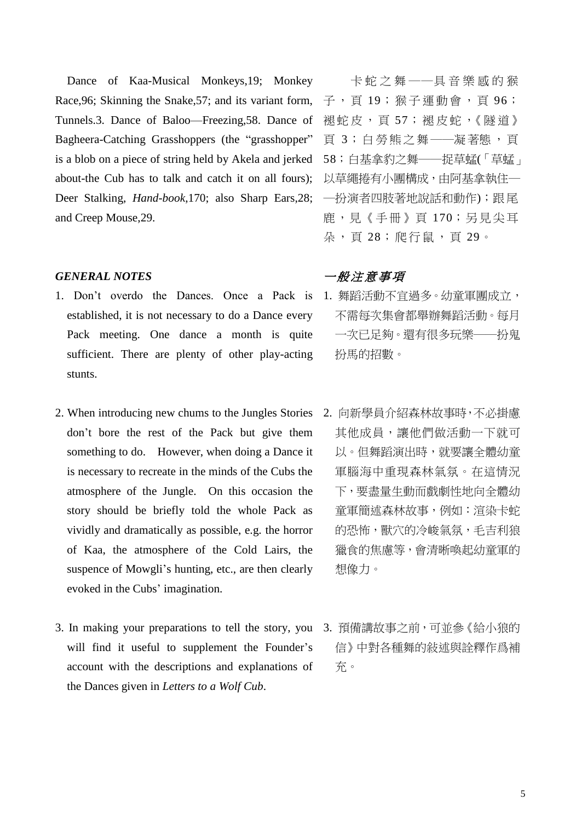Dance of Kaa-Musical Monkeys,19; Monkey Race,96; Skinning the Snake,57; and its variant form, Tunnels.3. Dance of Baloo—Freezing,58. Dance of Bagheera-Catching Grasshoppers (the "grasshopper" is a blob on a piece of string held by Akela and jerked about-the Cub has to talk and catch it on all fours); Deer Stalking, *Hand-book*,170; also Sharp Ears,28; 一扮演者四肢著地說話和動作); 跟尾 and Creep Mouse,29.

#### *GENERAL NOTES*

- 1. Don't overdo the Dances. Once a Pack is established, it is not necessary to do a Dance every Pack meeting. One dance a month is quite sufficient. There are plenty of other play-acting stunts.
- 2. When introducing new chums to the Jungles Stories 2. 向新學員介紹森林故事時,不必掛慮 don't bore the rest of the Pack but give them something to do. However, when doing a Dance it is necessary to recreate in the minds of the Cubs the atmosphere of the Jungle. On this occasion the story should be briefly told the whole Pack as vividly and dramatically as possible, e.g. the horror of Kaa, the atmosphere of the Cold Lairs, the suspence of Mowgli's hunting, etc., are then clearly evoked in the Cubs' imagination.
- 3. In making your preparations to tell the story, you 3. 預備講故事之前,可並參《給小狼的 will find it useful to supplement the Founder's account with the descriptions and explanations of the Dances given in *Letters to a Wolf Cub*.

卡蛇之舞 ──具音樂感的猴 子, 頁 19; 猴子運動會, 頁 96; 褪蛇皮,頁57;褪皮蛇,《隧道》 頁 3;白 勞 熊之 舞──凝著態,頁 58;白基拿豹之舞──捉草蜢(「草蜢」 以草繩捲有小團構成,由阿基拿執住一 鹿,見《手冊》頁 170;另見尖耳 朵, 頁 28; 爬行鼠, 頁 29。

## 一般注意事項

- 1. 舞蹈活動不宜過多。幼童軍團成立, 不需每次集會都舉辦舞蹈活動。每月 一次已足夠。還有很多玩樂──扮鬼 扮馬的招數。
	- 其他成員,讓他們做活動一下就可 以。但舞蹈演出時,就要讓全體幼童 軍腦海中重現森林氣氛。在這情況 下,要盡量生動而戲劇性地向全體幼 童軍簡述森林故事,例如:渲染卡蛇 的恐怖,獸穴的冷峻氣氛,毛吉利狼 獵食的焦慮等,會清晰喚起幼童軍的 想像力。
	- 信》中對各種舞的敍述與詮釋作爲補 充。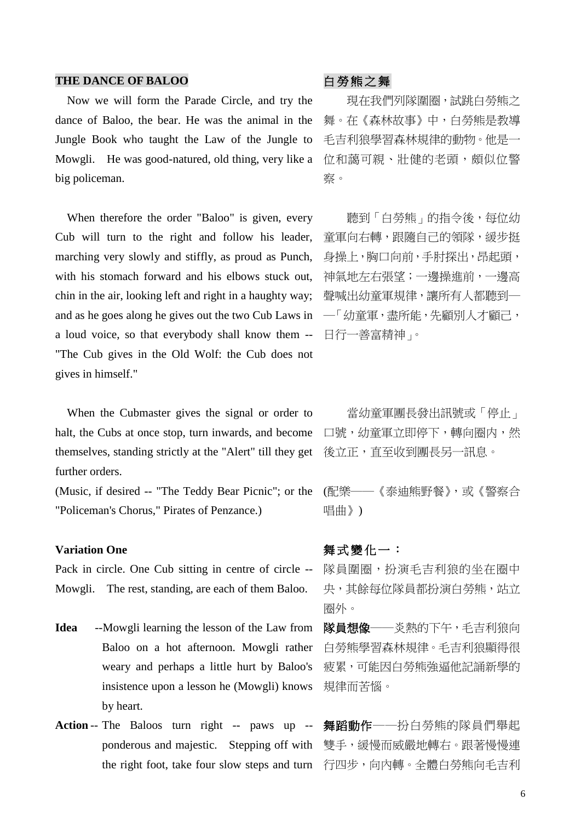### THE DANCE OF BALOO<br> **COMPASS**

Now we will form the Parade Circle, and try the dance of Baloo, the bear. He was the animal in the Jungle Book who taught the Law of the Jungle to Mowgli. He was good-natured, old thing, very like a big policeman.

When therefore the order "Baloo" is given, every Cub will turn to the right and follow his leader, marching very slowly and stiffly, as proud as Punch, with his stomach forward and his elbows stuck out, chin in the air, looking left and right in a haughty way; and as he goes along he gives out the two Cub Laws in a loud voice, so that everybody shall know them -- "The Cub gives in the Old Wolf: the Cub does not gives in himself."

When the Cubmaster gives the signal or order to halt, the Cubs at once stop, turn inwards, and become themselves, standing strictly at the "Alert" till they get further orders.

(Music, if desired -- "The Teddy Bear Picnic"; or the "Policeman's Chorus," Pirates of Penzance.)

### **Variation One**

Pack in circle. One Cub sitting in centre of circle -- Mowgli. The rest, standing, are each of them Baloo.

- **Idea** --Mowgli learning the lesson of the Law from Baloo on a hot afternoon. Mowgli rather weary and perhaps a little hurt by Baloo's insistence upon a lesson he (Mowgli) knows by heart.
- **Action** -- The Baloos turn right -- paws up ponderous and majestic. Stepping off with the right foot, take four slow steps and turn 行四步,向內轉。全體白勞熊向毛吉利

現在我們列隊圍圈,試跳白勞熊之 舞。在《森林故事》中,白勞熊是教導 毛吉利狼學習森林規律的動物。他是一 位和藹可親、壯健的老頭,頗似位警 察。

聽到「白勞熊」的指令後,每位幼 童軍向右轉,跟隨自己的領隊,緩步挺 身操上,胸口向前,手肘探出,昂起頭, 神氣地左右張望;一邊操進前,一邊高 聲喊出幼童軍規律,讓所有人都聽到一 ─「幼童軍,盡所能,先顧別人才顧己, 日行一善富精神」。

當幼童軍團長發出訊號或「停止」 口號,幼童軍立即停下,轉向圈内,然 後立正,直至收到團長另一訊息。

(配樂──《泰迪熊野餐》,或《警察合 唱曲》)

### 舞式變化一:

隊員圍圈,扮演毛吉利狼的坐在圈中 央,其餘每位隊員都扮演白勞熊,站立 圈外。

隊員想像──炎熱的下午,毛吉利狼向 白勞熊學習森林規律。毛吉利狼顯得很 疲累,可能因白勞熊強逼他記誦新學的 規律而苦惱。

舞蹈動作──扮白勞熊的隊員們舉起 雙手,緩慢而威嚴地轉右。跟著慢慢連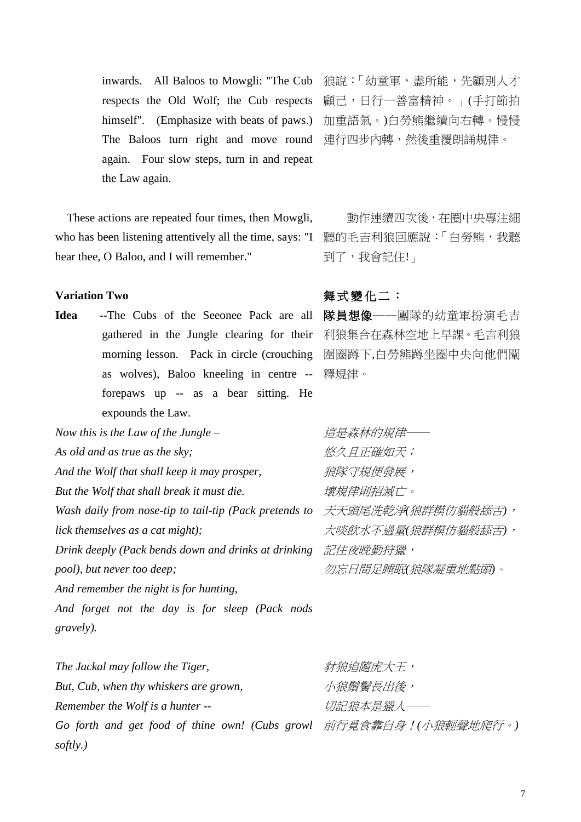inwards. All Baloos to Mowgli: "The Cub respects the Old Wolf; the Cub respects himself". (Emphasize with beats of paws.) The Baloos turn right and move round 連行四步內轉,然後重覆朗誦規律。 again. Four slow steps, turn in and repeat the Law again.

These actions are repeated four times, then Mowgli, who has been listening attentively all the time, says: "I 聽的毛吉利狼回應說:「白勞熊, 我聽 hear thee, O Baloo, and I will remember."

## **Variation Two**

**Idea** --The Cubs of the Seeonee Pack are all gathered in the Jungle clearing for their morning lesson. Pack in circle (crouching as wolves), Baloo kneeling in centre -- 釋規律。 forepaws up -- as a bear sitting. He expounds the Law.

*Now this is the Law of the Jungle – As old and as true as the sky; And the Wolf that shall keep it may prosper, But the Wolf that shall break it must die.*  Wash daily from nose-tip to tail-tip (Pack pretends to 天天頭尾洗乾淨狼群模仿貓般舔舌), *lick themselves as a cat might);*  Drink deeply (Pack bends down and drinks at drinking *記住夜晚勤狩獵*, *pool), but never too deep; And remember the night is for hunting,* 

*And forget not the day is for sleep (Pack nods gravely).* 

*The Jackal may follow the Tiger, But, Cub, when thy whiskers are grown, Remember the Wolf is a hunter -- Go forth and get food of thine own! (Cubs growl*  前行覓食靠自身!*(*小狼輕聲地爬行。*)softly.)* 新狼追隨虎大王, 小狼鬚鬢長出後, 切記狼本是獵人──

狼說:「幼童軍,盡所能,先顧別人才 顧己,日行一善富精神。」(手打節拍 加重語氣。)白勞熊繼續向右轉。慢慢

動作連續四次後,在圈中央專注細 到了,我會記住!」

## 舞式變化二:

隊員想像──團隊的幼童軍扮演毛吉 利狼集合在森林空地上早課。毛吉利狼 圍圈蹲下,白勞熊蹲坐圈中央向他們闡

*這是森林的規律*── 悠久且正確如天; 狼隊守規便發展, 壞規律則招滅亡。 大啖飲水不過量*(*狼群模仿貓般舔舌*)*, 勿忘日間足睡眠*(*狼隊凝重地點頭*)*。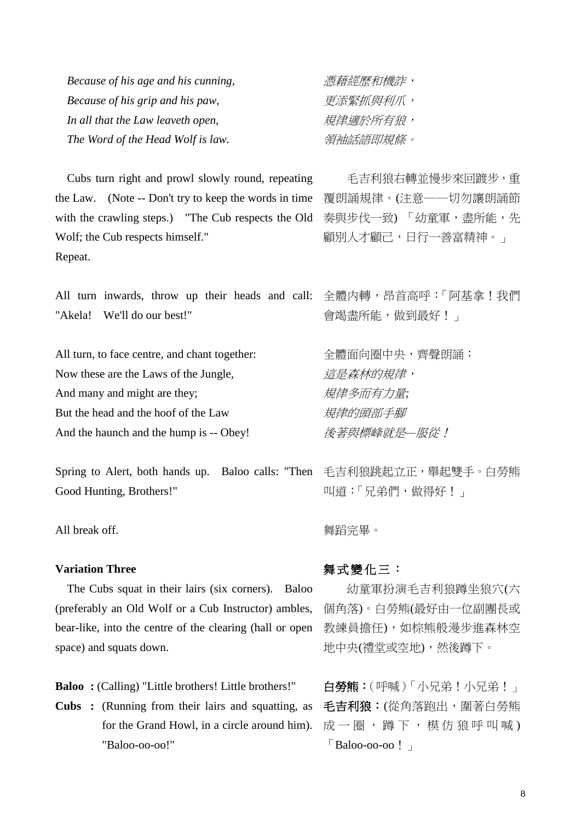| Because of his age and his cunning, | 憑藉經歷和機詐, |
|-------------------------------------|----------|
| Because of his grip and his paw,    | 更添緊抓與利爪, |
| In all that the Law leaveth open,   | 規律適於所有狼, |
| The Word of the Head Wolf is law.   | 領袖話語即規條。 |

Cubs turn right and prowl slowly round, repeating the Law. (Note -- Don't try to keep the words in time with the crawling steps.) "The Cub respects the Old Wolf; the Cub respects himself." Repeat.

All turn inwards, throw up their heads and call: 全體内轉,昂首高呼:「阿基拿!我們 "Akela! We'll do our best!"

All turn, to face centre, and chant together: Now these are the Laws of the Jungle, And many and might are they; But the head and the hoof of the Law And the haunch and the hump is -- Obey!

Spring to Alert, both hands up. Baloo calls: "Then 毛吉利狼跳起立正,舉起雙手。白勞熊 Good Hunting, Brothers!"

All break off.

### **Variation Three**

The Cubs squat in their lairs (six corners). Baloo (preferably an Old Wolf or a Cub Instructor) ambles, bear-like, into the centre of the clearing (hall or open space) and squats down.

**Baloo :** (Calling) "Little brothers! Little brothers!"

**Cubs :** (Running from their lairs and squatting, as for the Grand Howl, in a circle around him). "Baloo-oo-oo!"

更添緊抓與利爪, 規律適於所有狼, 領袖話語即規條。

毛吉利狼右轉並慢步來回踱步,重 覆朗誦規律。(注意──切勿讓朗誦節 奏與步伐一致) 「幼童軍,盡所能,先 顧別人才顧己,日行一善富精神。」

會竭盡所能,做到最好!」

全體面向圈中央,齊聲朗誦: **這是森林的規律**, 規律多而有力量*;* 規律的頭部手腳 後著與標峰就是*—*服從!

叫道:「兄弟們,做得好!」

舞蹈完畢。

### 舞式變化三:

幼童軍扮演毛吉利狼蹲坐狼穴(六 個角落)。白勞熊(最好由一位副團長或 教練員擔任),如棕熊般漫步進森林空 地中央(禮堂或空地),然後蹲下。

白勞熊:(呼喊)「小兄弟!小兄弟!」 毛吉利狼:(從角落跑出,圍著白勞熊 成一圈, 蹲下, 模仿狼呼叫喊)  $\ulcorner$  Baloo-oo-oo !」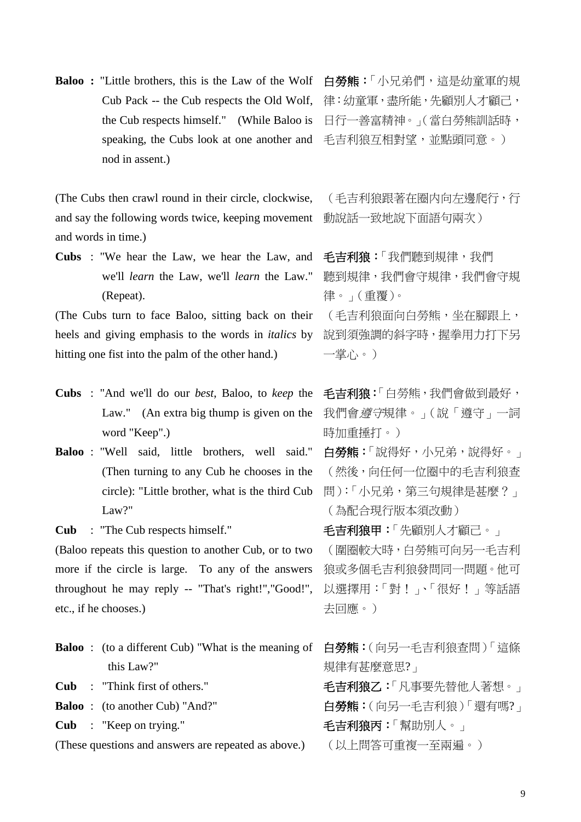**Baloo :** "Little brothers, this is the Law of the Wolf Cub Pack -- the Cub respects the Old Wolf, the Cub respects himself." (While Baloo is speaking, the Cubs look at one another and nod in assent.)

(The Cubs then crawl round in their circle, clockwise, and say the following words twice, keeping movement and words in time.)

**Cubs** : "We hear the Law, we hear the Law, and we'll *learn* the Law, we'll *learn* the Law." (Repeat).

(The Cubs turn to face Baloo, sitting back on their heels and giving emphasis to the words in *italics* by hitting one fist into the palm of the other hand.)

- **Cubs** : "And we'll do our *best*, Baloo, to *keep* the Law." (An extra big thump is given on the word "Keep".)
- **Baloo** : "Well said, little brothers, well said." (Then turning to any Cub he chooses in the circle): "Little brother, what is the third Cub Law?"

**Cub** : "The Cub respects himself."

(Baloo repeats this question to another Cub, or to two more if the circle is large. To any of the answers throughout he may reply -- "That's right!","Good!", etc., if he chooses.)

- **Baloo** : (to a different Cub) "What is the meaning of this Law?"
- **Cub** : "Think first of others."
- **Baloo** : (to another Cub) "And?"

**Cub** : "Keep on trying."

(These questions and answers are repeated as above.)

白勞熊:「小兄弟們,這是幼童軍的規 律:幼童軍,盡所能,先顧別人才顧己, 日行一善富精神。」(當白勞熊訓話時, 毛吉利狼互相對望,並點頭同意。)

(毛吉利狼跟著在圈内向左邊爬行,行 動說話一致地說下面語句兩次)

毛吉利狼:「我們聽到規律,我們 聽到規律,我們會守規律,我們會守規 律。」(重覆)。

(毛吉利狼面向白勞熊,坐在腳跟上, 說到須強調的斜字時,握拳用力打下另 一掌心。)

毛吉利狼:「白勞熊,我們會做到最好, 我們會遵守規律。」(說「遵守」一詞 時加重捶打。)

白勞熊:「說得好,小兄弟,說得好。」 (然後,向任何一位圈中的毛吉利狼查 問):「小兄弟,第三句規律是甚麼?」 (為配合現行版本須改動)

毛吉利狼甲:「先顧別人才顧己。」 (圍圈較大時,白勞熊可向另一毛吉利 狼或多個毛吉利狼發問同一問題。他可 以選擇用:「對!」、「很好!」等話語 去回應。)

白勞熊:(向另一毛吉利狼查問)「這條 規律有甚麼意思?」

毛吉利狼乙:「凡事要先替他人著想。」 白勞熊:(向另一毛吉利狼)「還有嗎?」 毛吉利狼丙:「幫助別人。」

(以上問答可重複一至兩遍。)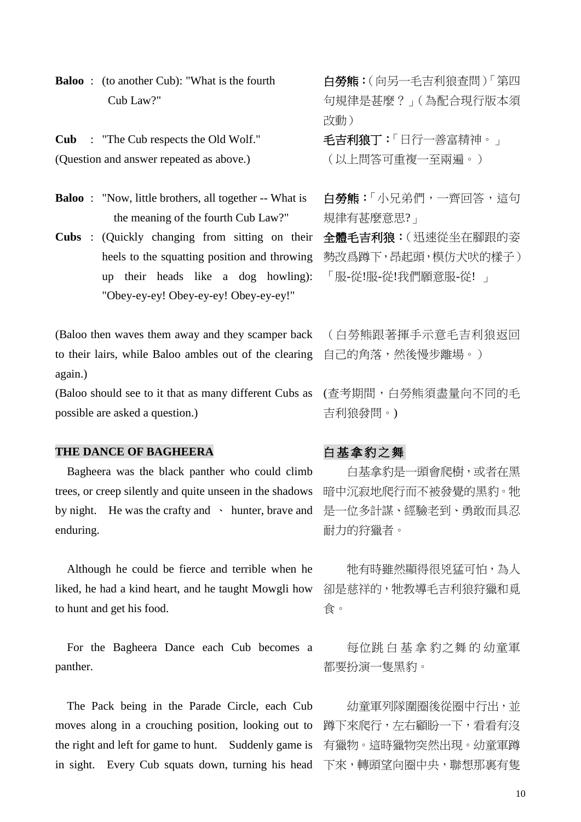**Baloo** : (to another Cub): "What is the fourth Cub Law?"

**Cub** : "The Cub respects the Old Wolf." (Question and answer repeated as above.)

**Baloo** : "Now, little brothers, all together -- What is the meaning of the fourth Cub Law?"

**Cubs** : (Quickly changing from sitting on their heels to the squatting position and throwing up their heads like a dog howling): "Obey-ey-ey! Obey-ey-ey! Obey-ey-ey!"

(Baloo then waves them away and they scamper back to their lairs, while Baloo ambles out of the clearing again.)

(Baloo should see to it that as many different Cubs as possible are asked a question.)

## THE DANCE OF BAGHEERA **白基拿豹之**舞

Bagheera was the black panther who could climb trees, or creep silently and quite unseen in the shadows by night. He was the crafty and v hunter, brave and enduring.

Although he could be fierce and terrible when he liked, he had a kind heart, and he taught Mowgli how to hunt and get his food.

For the Bagheera Dance each Cub becomes a panther.

The Pack being in the Parade Circle, each Cub moves along in a crouching position, looking out to the right and left for game to hunt. Suddenly game is in sight. Every Cub squats down, turning his head 下來,轉頭望向圈中央,聯想那裏有隻

白勞熊:(向另一毛吉利狼查問)「第四 句規律是甚麼?」(為配合現行版本須 改動)

毛吉利狼丁:「日行一善富精神。」 (以上問答可重複一至兩遍。)

白勞熊:「小兄弟們,一齊回答,這句 規律有甚麼意思?」

全體毛吉利狼:(迅速從坐在腳跟的姿 勢改爲蹲下,昂起頭,模仿犬吠的樣子) 「服-從!服-從!我們願意服-從! 」

(白勞熊跟著揮手示意毛吉利狼返回 自己的角落,然後慢步離場。)

(查考期間,白勞熊須盡量向不同的毛 吉利狼發問。)

白基拿豹是一頭會爬樹,或者在黑 暗中沉寂地爬行而不被發覺的黑豹。牠 是一位多計謀、經驗老到、勇敢而具忍 耐力的狩獵者。

牠有時雖然顯得很兇猛可怕,為人 卻是慈祥的,牠教導毛吉利狼狩獵和覓 食。

每位跳 白 基 拿 豹之舞 的 幼童軍 都要扮演一隻黑豹。

幼童軍列隊圍圈後從圈中行出,並 蹲下來爬行,左右顧盼一下,看看有沒 有獵物。這時獵物突然出現。幼童軍蹲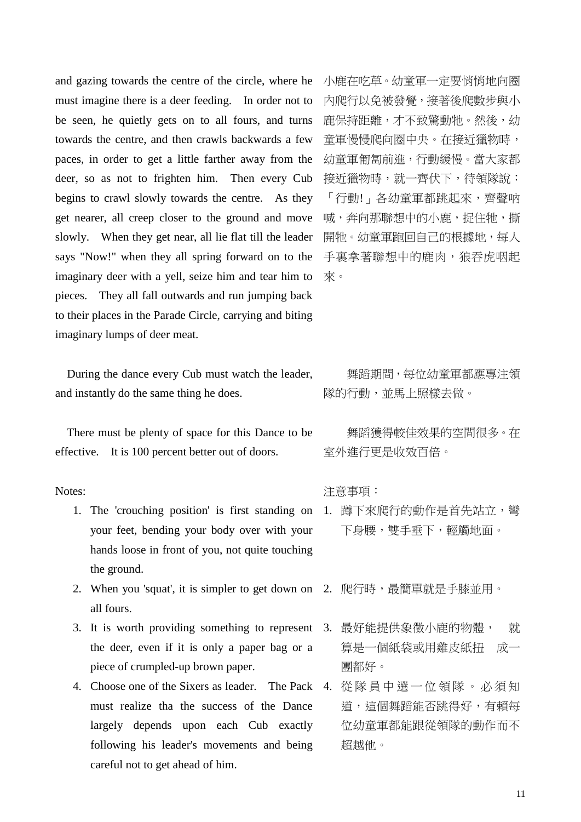and gazing towards the centre of the circle, where he must imagine there is a deer feeding. In order not to be seen, he quietly gets on to all fours, and turns towards the centre, and then crawls backwards a few paces, in order to get a little farther away from the deer, so as not to frighten him. Then every Cub begins to crawl slowly towards the centre. As they get nearer, all creep closer to the ground and move slowly. When they get near, all lie flat till the leader says "Now!" when they all spring forward on to the imaginary deer with a yell, seize him and tear him to pieces. They all fall outwards and run jumping back to their places in the Parade Circle, carrying and biting imaginary lumps of deer meat.

During the dance every Cub must watch the leader, and instantly do the same thing he does.

There must be plenty of space for this Dance to be effective. It is 100 percent better out of doors.

Notes:

- 1. The 'crouching position' is first standing on 1. 蹲下來爬行的動作是首先站立, 彎 your feet, bending your body over with your hands loose in front of you, not quite touching the ground.
- 2. When you 'squat', it is simpler to get down on 2. 爬行時,最簡單就是手膝並用。 all fours.
- 3. It is worth providing something to represent 3. 最好能提供象徵小鹿的物體, 就 the deer, even if it is only a paper bag or a piece of crumpled-up brown paper.
- 4. Choose one of the Sixers as leader. The Pack 4. 從 隊 員 中 選 一 位 領 隊 。 必 須 知 must realize tha the success of the Dance largely depends upon each Cub exactly following his leader's movements and being careful not to get ahead of him.

小鹿在吃草。幼童軍一定要悄悄地向圈 內爬行以免被發覺,接著後爬數步與小 鹿保持距離,才不致驚動牠。然後,幼 童軍慢慢爬向圈中央。在接近獵物時, 幼童軍匍匐前進,行動緩慢。當大家都 接近獵物時,就一齊伏下,待領隊說: 「行動!」各幼童軍都跳起來,齊聲吶 喊,奔向那聯想中的小鹿,捉住牠,撕 開牠。幼童軍跑回自己的根據地,每人 **手裏拿著聯想中的鹿肉,狼吞虎咽起** 來。

舞蹈期間,每位幼童軍都應專注領 隊的行動,並馬上照樣去做。

舞蹈獲得較佳效果的空間很多。在 室外進行更是收效百倍。

注意事項:

- 下身腰,雙手垂下,輕觸地面。
	-
	- 算是一個紙袋或用雞皮紙扭 成一 團都好。
- 道,這個舞蹈能否跳得好,有賴每 位幼童軍都能跟從領隊的動作而不 超越他。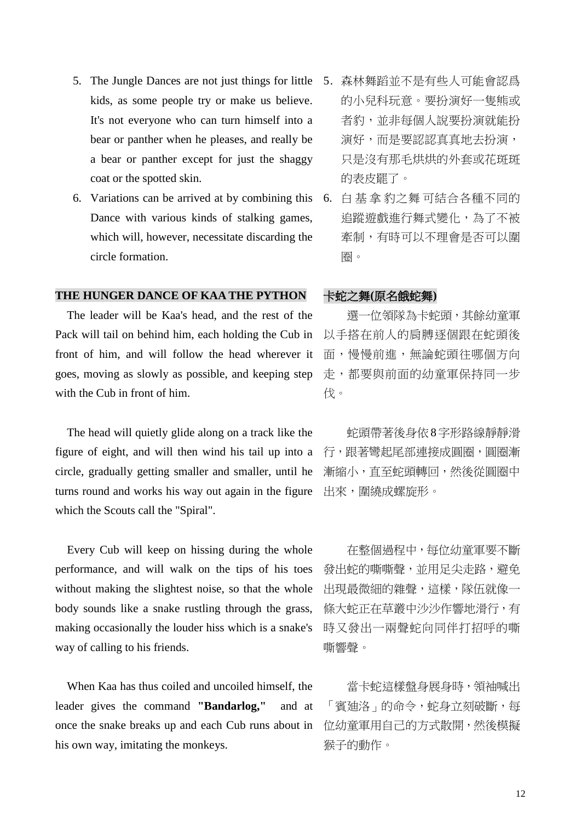- 5. The Jungle Dances are not just things for little 5. 森林舞蹈並不是有些人可能會認爲 kids, as some people try or make us believe. It's not everyone who can turn himself into a bear or panther when he pleases, and really be a bear or panther except for just the shaggy coat or the spotted skin.
- 6. Variations can be arrived at by combining this Dance with various kinds of stalking games, which will, however, necessitate discarding the circle formation.

## **THE HUNGER DANCE OF KAA THE PYTHON** 卡蛇之舞**(**原名餓蛇舞**)**

The leader will be Kaa's head, and the rest of the Pack will tail on behind him, each holding the Cub in front of him, and will follow the head wherever it goes, moving as slowly as possible, and keeping step with the Cub in front of him.

The head will quietly glide along on a track like the figure of eight, and will then wind his tail up into a circle, gradually getting smaller and smaller, until he turns round and works his way out again in the figure which the Scouts call the "Spiral".

Every Cub will keep on hissing during the whole performance, and will walk on the tips of his toes without making the slightest noise, so that the whole body sounds like a snake rustling through the grass, making occasionally the louder hiss which is a snake's way of calling to his friends.

When Kaa has thus coiled and uncoiled himself, the leader gives the command **"Bandarlog,"** and at once the snake breaks up and each Cub runs about in his own way, imitating the monkeys.

- 的小兒科玩意。要扮演好一隻熊或 者豹,並非每個人說要扮演就能扮 演好,而是要認認真真地去扮演, 只是沒有那毛烘烘的外套或花斑斑 的表皮罷了。
- 6. 白 基 拿 豹之舞 可結合各種不同的 追蹤遊戲進行舞式變化,為了不被 牽制,有時可以不理會是否可以圍 圈。

選一位領隊為卡蛇頭,其餘幼童軍 以手搭在前人的肩膊逐個跟在蛇頭後 面,慢慢前進,無論蛇頭往哪個方向 走,都要與前面的幼童軍保持同一步 伐。

蛇頭帶著後身依8字形路線靜靜滑 行,跟著彎起尾部連接成圓圈,圓圈漸 漸縮小,直至蛇頭轉回,然後從圓圈中 出來,圍繞成螺旋形。

在整個過程中,每位幼童軍要不斷 發出蛇的嘶嘶聲,並用足尖走路,避免 出現最微細的雜聲,這樣,隊伍就像一 條大蛇正在草叢中沙沙作響地滑行,有 時又發出一兩聲蛇向同伴打招呼的嘶 嘶響聲。

當卡蛇這樣盤身展身時,領袖喊出 「賓廸洛」的命令,蛇身立刻破斷,每 位幼童軍用自己的方式散開,然後模擬 猴子的動作。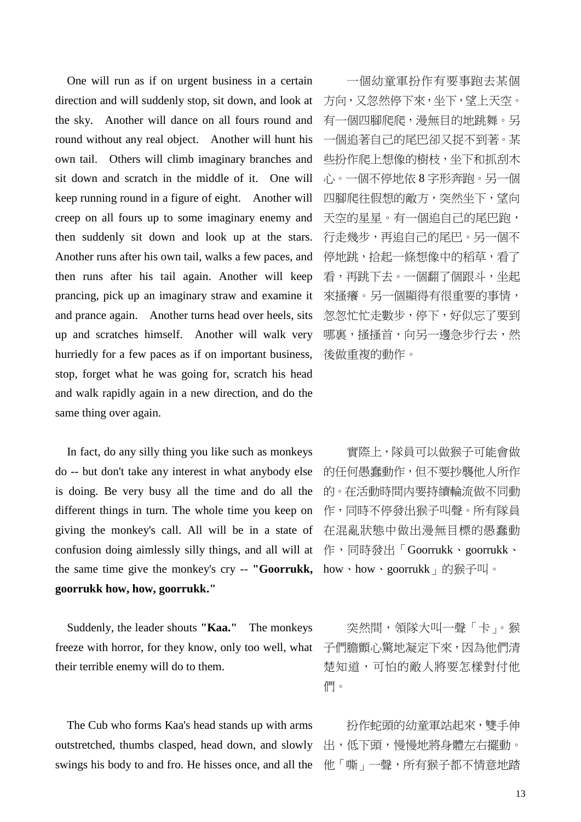One will run as if on urgent business in a certain direction and will suddenly stop, sit down, and look at the sky. Another will dance on all fours round and round without any real object. Another will hunt his own tail. Others will climb imaginary branches and sit down and scratch in the middle of it. One will keep running round in a figure of eight. Another will creep on all fours up to some imaginary enemy and then suddenly sit down and look up at the stars. Another runs after his own tail, walks a few paces, and then runs after his tail again. Another will keep prancing, pick up an imaginary straw and examine it and prance again. Another turns head over heels, sits up and scratches himself. Another will walk very hurriedly for a few paces as if on important business, stop, forget what he was going for, scratch his head and walk rapidly again in a new direction, and do the same thing over again.

In fact, do any silly thing you like such as monkeys do -- but don't take any interest in what anybody else is doing. Be very busy all the time and do all the different things in turn. The whole time you keep on giving the monkey's call. All will be in a state of confusion doing aimlessly silly things, and all will at 作,同時發出「Goorrukk、goorrukk、 the same time give the monkey's cry -- "Goorrukk, how、how、goorrukk」的猴子叫。 **goorrukk how, how, goorrukk."**

Suddenly, the leader shouts **"Kaa."** The monkeys freeze with horror, for they know, only too well, what 子們膽顫心驚地凝定下來,因為他們清 their terrible enemy will do to them.

The Cub who forms Kaa's head stands up with arms outstretched, thumbs clasped, head down, and slowly swings his body to and fro. He hisses once, and all the

一個幼童軍扮作有要事跑去某個 方向,又忽然停下來,坐下,望上天空。 有一個四腳爬爬,漫無目的地跳舞。另 一個追著自己的尾巴卻又捉不到著。某 些扮作爬上想像的樹枝,坐下和抓刮木 心。一個不停地依 8 字形奔跑。另一個 四腳爬往假想的敵方,突然坐下,望向 天空的星星。有一個追自己的尾巴跑, 行走幾步,再追自己的尾巴。另一個不 停地跳,拾起一條想像中的稻草,看了 看,再跳下去。一個翻了個跟斗,坐起 來搔癢。另一個顯得有很重要的事情, 怱怱忙忙走數步,停下,好似忘了要到 哪裏,搔搔首,向另一邊急步行去,然 後做重複的動作。

實際上,隊員可以做猴子可能會做 的任何愚蠢動作,但不要抄襲他人所作 的。在活動時間内要持續輪流做不同動 作,同時不停發出猴子叫聲。所有隊員 在混亂狀態中做出漫無目標的愚蠢動

突然間,領隊大叫一聲「卡」。猴 楚知道,可怕的敵人將要怎樣對付他 們。

扮作蛇頭的幼童軍站起來,雙手伸 出,低下頭,慢慢地將身體左右擺動。 他「嘶」一聲,所有猴子都不情意地踏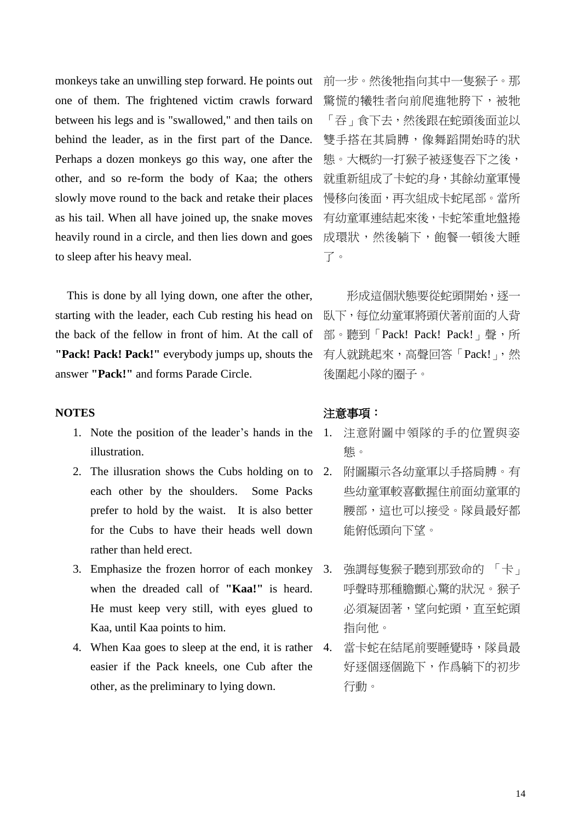monkeys take an unwilling step forward. He points out one of them. The frightened victim crawls forward between his legs and is "swallowed," and then tails on behind the leader, as in the first part of the Dance. Perhaps a dozen monkeys go this way, one after the other, and so re-form the body of Kaa; the others slowly move round to the back and retake their places as his tail. When all have joined up, the snake moves heavily round in a circle, and then lies down and goes to sleep after his heavy meal.

This is done by all lying down, one after the other, starting with the leader, each Cub resting his head on the back of the fellow in front of him. At the call of **"Pack! Pack! Pack!"** everybody jumps up, shouts the answer **"Pack!"** and forms Parade Circle.

#### **NOTES**

- 1. Note the position of the leader's hands in the illustration.
- 2. The illustration shows the Cubs holding on to 2. each other by the shoulders. Some Packs prefer to hold by the waist. It is also better for the Cubs to have their heads well down rather than held erect.
- 3. Emphasize the frozen horror of each monkey when the dreaded call of **"Kaa!"** is heard. He must keep very still, with eyes glued to Kaa, until Kaa points to him.
- 4. When Kaa goes to sleep at the end, it is rather 4. easier if the Pack kneels, one Cub after the other, as the preliminary to lying down.

前一步。然後牠指向其中一隻猴子。那 驚慌的犧牲者向前爬進牠胯下,被牠 「吞」食下去,然後跟在蛇頭後面並以 雙手搭在其肩膊,像舞蹈開始時的狀 態。大概約一打猴子被逐隻吞下之後, 就重新組成了卡蛇的身,其餘幼童軍慢 慢移向後面,再次組成卡蛇尾部。當所 有幼童軍連結起來後,卡蛇笨重地盤捲 成環狀,然後躺下,飽餐一頓後大睡 了。

形成這個狀態要從蛇頭開始,逐一 臥下,每位幼童軍將頭伏著前面的人背 部。聽到「Pack! Pack! Pack!」聲,所 有人就跳起來,高聲回答「Pack!」,然 後圍起小隊的圈子。

### 注意事項:

- 1. 注意附圖中領隊的手的位置與姿 態。
- 2. 附圖顯示各幼童軍以手搭肩膊。有 些幼童軍較喜歡握住前面幼童軍的 腰部,這也可以接受。隊員最好都 能俯低頭向下望。
- 強調每隻猴子聽到那致命的 「卡」 呼聲時那種膽顫心驚的狀況。猴子 **必須凝固著,望向蛇頭,直至蛇頭** 指向他。
- 當卡蛇在結尾前要睡覺時,隊員最 好逐個逐個跪下,作爲躺下的初步 行動。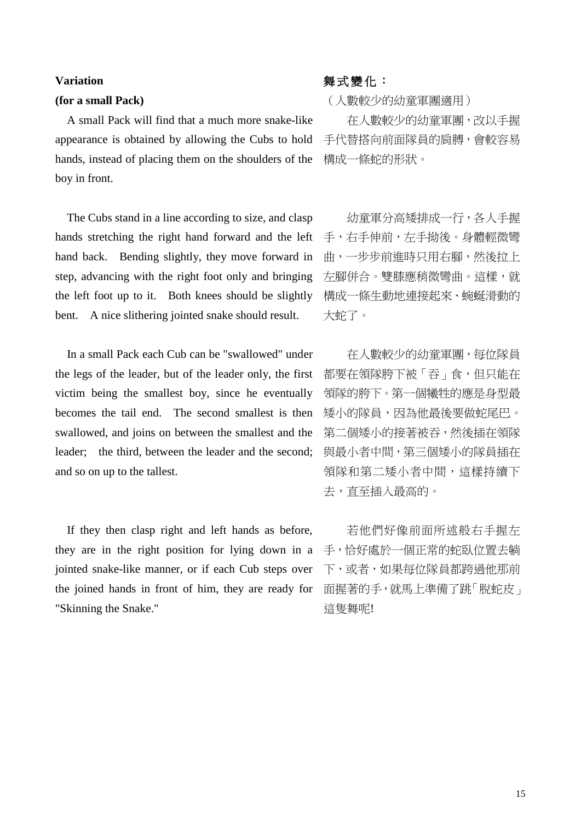#### **Variation**

#### **(for a small Pack)**

A small Pack will find that a much more snake-like appearance is obtained by allowing the Cubs to hold hands, instead of placing them on the shoulders of the boy in front.

The Cubs stand in a line according to size, and clasp hands stretching the right hand forward and the left hand back. Bending slightly, they move forward in step, advancing with the right foot only and bringing the left foot up to it. Both knees should be slightly bent. A nice slithering jointed snake should result.

In a small Pack each Cub can be "swallowed" under the legs of the leader, but of the leader only, the first victim being the smallest boy, since he eventually becomes the tail end. The second smallest is then swallowed, and joins on between the smallest and the leader; the third, between the leader and the second; and so on up to the tallest.

If they then clasp right and left hands as before, they are in the right position for lying down in a jointed snake-like manner, or if each Cub steps over the joined hands in front of him, they are ready for "Skinning the Snake."

## 舞式變化:

(人數較少的幼童軍團適用)

在人數較少的幼童軍團,改以手握 手代替搭向前面隊員的肩膊,會較容易 構成一條蛇的形狀。

幼童軍分高矮排成一行,各人手握 手,右手伸前,左手拗後。身體輕微彎 曲,一步步前進時只用右腳,然後拉上 左腳併合。雙膝應稍微彎曲。這樣,就 構成一條生動地連接起來、蜿蜒滑動的 大蛇了。

在人數較少的幼童軍團,每位隊員 都要在領隊胯下被「吞」食,但只能在 領隊的胯下。第一個犧牲的應是身型最 矮小的隊員,因為他最後要做蛇尾巴。 第二個矮小的接著被吞,然後插在領隊 與最小者中間,第三個矮小的隊員插在 領隊和第二矮小者中間,這樣持續下 去,直至插入最高的。

若他們好像前面所述般右手握左 手,恰好處於一個正常的蛇臥位置去躺 下,或者,如果每位隊員都跨過他那前 面握著的手,就馬上準備了跳「脫蛇皮」 這隻舞呢!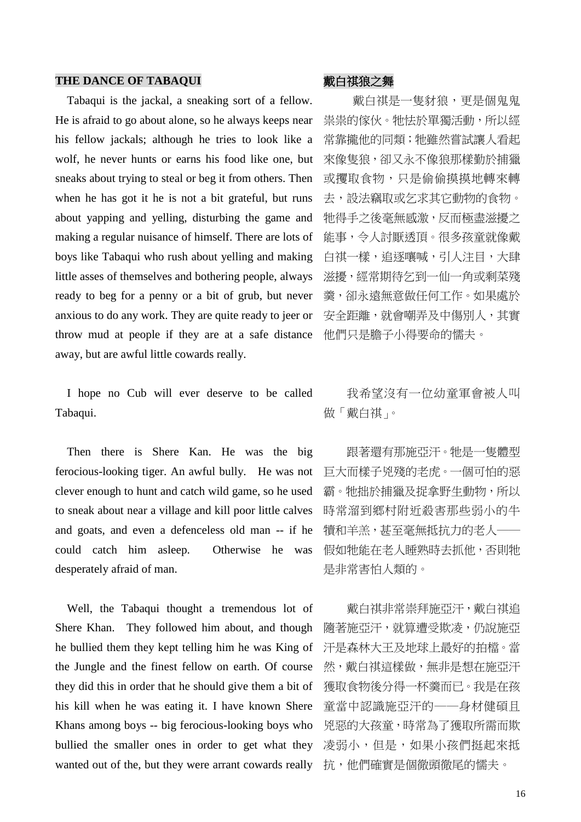#### THE DANCE OF TABAQUI **the original of the original of the original of the original of the original of the original of the original of the original of the original of the original of the original of the original of the ori**

Tabaqui is the jackal, a sneaking sort of a fellow. He is afraid to go about alone, so he always keeps near his fellow jackals; although he tries to look like a wolf, he never hunts or earns his food like one, but sneaks about trying to steal or beg it from others. Then when he has got it he is not a bit grateful, but runs about yapping and yelling, disturbing the game and making a regular nuisance of himself. There are lots of boys like Tabaqui who rush about yelling and making little asses of themselves and bothering people, always ready to beg for a penny or a bit of grub, but never anxious to do any work. They are quite ready to jeer or throw mud at people if they are at a safe distance away, but are awful little cowards really.

I hope no Cub will ever deserve to be called Tabaqui.

Then there is Shere Kan. He was the big ferocious-looking tiger. An awful bully. He was not clever enough to hunt and catch wild game, so he used to sneak about near a village and kill poor little calves and goats, and even a defenceless old man -- if he could catch him asleep. Otherwise he was desperately afraid of man.

Well, the Tabaqui thought a tremendous lot of Shere Khan. They followed him about, and though he bullied them they kept telling him he was King of the Jungle and the finest fellow on earth. Of course they did this in order that he should give them a bit of his kill when he was eating it. I have known Shere Khans among boys -- big ferocious-looking boys who bullied the smaller ones in order to get what they wanted out of the, but they were arrant cowards really

戴白祺是一隻豺狼,更是個鬼鬼 祟祟的傢伙。牠怯於單獨活動,所以經 常靠攏他的同類;牠雖然嘗試讓人看起 來像隻狼,卻又永不像狼那樣勤於捕獵 或攫取食物,只是偷偷摸摸地轉來轉 去,設法竊取或乞求其它動物的食物。 牠得手之後毫無感激,反而極盡滋擾之 能事,令人討厭透頂。很多孩童就像戴 白祺一樣,追逐嚷喊,引人注目,大肆 滋擾,經常期待乞到一仙一角或剩菜殘 羹,卻永遠無意做任何工作。如果處於 安全距離,就會嘲弄及中傷別人,其實 他們只是膽子小得要命的懦夫。

我希望沒有一位幼童軍會被人叫 做「戴白祺」。

跟著還有那施亞汗。牠是一隻體型 巨大而樣子兇殘的老虎。一個可怕的惡 霸。牠拙於捕獵及捉拿野生動物,所以 時常溜到鄉村附近殺害那些弱小的牛 犢和羊羔,甚至毫無抵抗力的老人── 假如牠能在老人睡熟時去抓他,否則牠 是非常害怕人類的。

戴白祺非常崇拜施亞汗,戴白祺追 隨著施亞汗,就算遭受欺凌,仍說施亞 汗是森林大王及地球上最好的拍檔。當 然,戴白祺這樣做,無非是想在施亞汗 獲取食物後分得一杯羹而已。我是在孩 童當中認識施亞汗的──身材健碩且 兇惡的大孩童,時常為了獲取所需而欺 凌弱小,但是,如果小孩們挺起來抵 抗,他們確實是個徹頭徹尾的懦夫。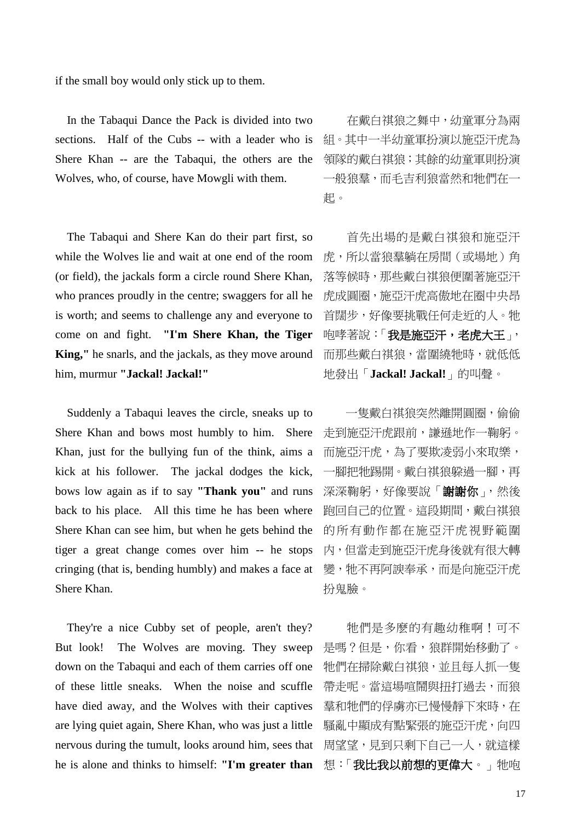if the small boy would only stick up to them.

In the Tabaqui Dance the Pack is divided into two sections. Half of the Cubs -- with a leader who is Shere Khan -- are the Tabaqui, the others are the Wolves, who, of course, have Mowgli with them.

The Tabaqui and Shere Kan do their part first, so while the Wolves lie and wait at one end of the room (or field), the jackals form a circle round Shere Khan, who prances proudly in the centre; swaggers for all he is worth; and seems to challenge any and everyone to come on and fight. **"I'm Shere Khan, the Tiger King,"** he snarls, and the jackals, as they move around him, murmur **"Jackal! Jackal!"**

Suddenly a Tabaqui leaves the circle, sneaks up to Shere Khan and bows most humbly to him. Shere Khan, just for the bullying fun of the think, aims a kick at his follower. The jackal dodges the kick, bows low again as if to say **"Thank you"** and runs back to his place. All this time he has been where Shere Khan can see him, but when he gets behind the tiger a great change comes over him -- he stops cringing (that is, bending humbly) and makes a face at Shere Khan.

They're a nice Cubby set of people, aren't they? But look! The Wolves are moving. They sweep down on the Tabaqui and each of them carries off one of these little sneaks. When the noise and scuffle have died away, and the Wolves with their captives are lying quiet again, Shere Khan, who was just a little nervous during the tumult, looks around him, sees that he is alone and thinks to himself: **"I'm greater than** 

在戴白祺狼之舞中,幼童軍分為兩 組。其中一半幼童軍扮演以施亞汗虎為 領隊的戴白祺狼;其餘的幼童軍則扮演 一般狼羣,而毛吉利狼當然和牠們在一 起。

首先出場的是戴白祺狼和施亞汗 虎,所以當狼羣躺在房間(或場地)角 落等候時,那些戴白祺狼便圍著施亞汗 虎成圓圈,施亞汗虎高傲地在圈中央昂 首闊步,好像要挑戰任何走近的人。牠 咆哮著說:「我是施亞汗,老虎大王」, 而那些戴白祺狼,當圍繞牠時,就低低 地發出「**Jackal! Jackal!**」的叫聲。

一隻戴白祺狼突然離開圓圈,偷偷 走到施亞汗虎跟前,謙遜地作一鞠躬。 而施亞汗虎,為了要欺凌弱小來取樂, 一腳把牠踢開。戴白祺狼躱過一腳,再 深深鞠躬,好像要說「謝謝你」,然後 跑回自己的位置。這段期間,戴白祺狼 的所有動作都在施亞汗虎視野範圍 内,但當走到施亞汗虎身後就有很大轉 變,牠不再阿諛奉承,而是向施亞汗虎 扮鬼臉。

牠們是多麽的有趣幼稚啊!可不 是嗎?但是,你看,狼群開始移動了。 牠們在掃除戴白祺狼,並且每人抓一隻 帶走呢。當這場喧鬧與扭打過去,而狼 羣和牠們的俘虜亦已慢慢靜下來時,在 騷亂中顯成有點緊張的施亞汗虎,向四 周望望,見到只剩下自己一人,就這樣 想:「我比我以前想的更偉大。」牠咆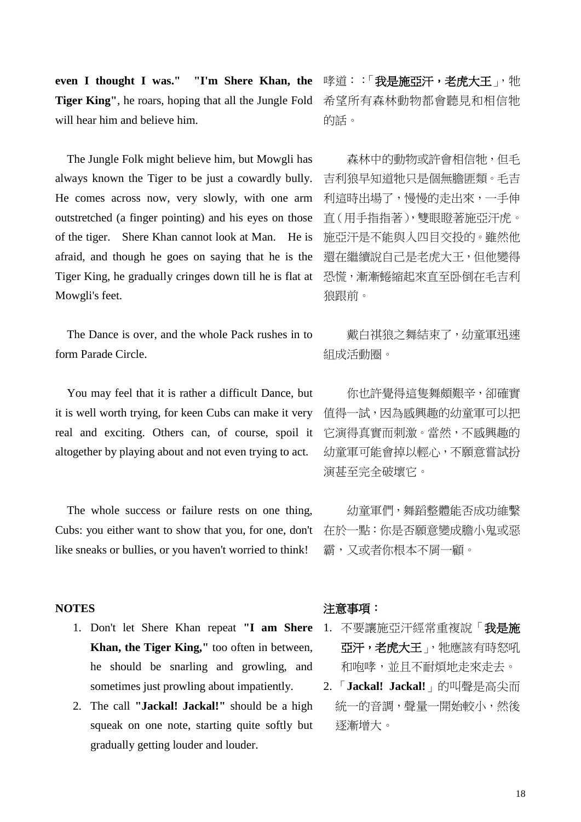**even I thought I was." "I'm Shere Khan, the Tiger King"**, he roars, hoping that all the Jungle Fold will hear him and believe him.

The Jungle Folk might believe him, but Mowgli has always known the Tiger to be just a cowardly bully. He comes across now, very slowly, with one arm outstretched (a finger pointing) and his eyes on those of the tiger. Shere Khan cannot look at Man. He is afraid, and though he goes on saying that he is the Tiger King, he gradually cringes down till he is flat at Mowgli's feet.

The Dance is over, and the whole Pack rushes in to form Parade Circle.

You may feel that it is rather a difficult Dance, but it is well worth trying, for keen Cubs can make it very real and exciting. Others can, of course, spoil it altogether by playing about and not even trying to act.

The whole success or failure rests on one thing, Cubs: you either want to show that you, for one, don't like sneaks or bullies, or you haven't worried to think!

#### **NOTES**

- 1. Don't let Shere Khan repeat **"I am Shere Khan, the Tiger King,"** too often in between, he should be snarling and growling, and sometimes just prowling about impatiently.
- 2. The call **"Jackal! Jackal!"** should be a high squeak on one note, starting quite softly but gradually getting louder and louder.

哮道::「我是施亞汗,老虎大王」,牠 希望所有森林動物都會聽見和相信牠 的話。

森林中的動物或許會相信牠,但毛 吉利狼早知道牠只是個無膽匪類。毛吉 利這時出場了,慢慢的走出來,一手伸 直(用手指指著),雙眼瞪著施亞汗虎。 施亞汗是不能與人四目交投的。雖然他 還在繼續說自己是老虎大王,但他變得 恐慌,漸漸蜷縮起來直至卧倒在毛吉利 狼跟前。

戴白祺狼之舞結束了,幼童軍迅速 組成活動圈。

你也許覺得這隻舞頗艱辛,卻確實 值得一試,因為感興趣的幼童軍可以把 它演得真實而刺激。當然,不感興趣的 幼童軍可能會掉以輕心,不願意嘗試扮 演甚至完全破壞它。

幼童軍們,舞蹈整體能否成功維繫 在於一點:你是否願意變成膽小鬼或惡 霸,又或者你根本不屑一顧。

### 注意事項:

- 1. 不要讓施亞汗經常重複說「我是施 亞汗,老虎大王」,牠應該有時怒吼 和咆哮,並且不耐煩地走來走去。
- 2. 「**Jackal! Jackal!**」的叫聲是高尖而 統一的音調,聲量一開始較小,然後 逐漸增大。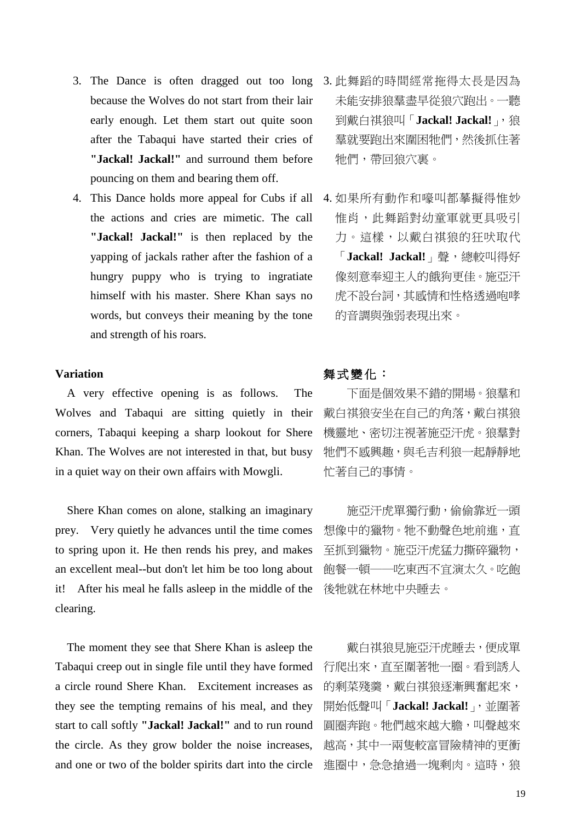- 3. The Dance is often dragged out too long because the Wolves do not start from their lair early enough. Let them start out quite soon after the Tabaqui have started their cries of **"Jackal! Jackal!"** and surround them before pouncing on them and bearing them off.
- the actions and cries are mimetic. The call **"Jackal! Jackal!"** is then replaced by the yapping of jackals rather after the fashion of a hungry puppy who is trying to ingratiate himself with his master. Shere Khan says no words, but conveys their meaning by the tone and strength of his roars.

#### **Variation**

A very effective opening is as follows. The Wolves and Tabaqui are sitting quietly in their corners, Tabaqui keeping a sharp lookout for Shere Khan. The Wolves are not interested in that, but busy in a quiet way on their own affairs with Mowgli.

Shere Khan comes on alone, stalking an imaginary prey. Very quietly he advances until the time comes to spring upon it. He then rends his prey, and makes an excellent meal--but don't let him be too long about it! After his meal he falls asleep in the middle of the clearing.

The moment they see that Shere Khan is asleep the Tabaqui creep out in single file until they have formed a circle round Shere Khan. Excitement increases as they see the tempting remains of his meal, and they start to call softly **"Jackal! Jackal!"** and to run round the circle. As they grow bolder the noise increases, and one or two of the bolder spirits dart into the circle

- 3. 此舞蹈的時間經常拖得太長是因為 未能安排狼羣盡早從狼穴跑出。一聽 到戴白祺狼叫「Jackal! Jackal!」,狼 羣就要跑出來圍困牠們,然後抓住著 牠們,帶回狼穴裏。
- 4. This Dance holds more appeal for Cubs if all 4. 如果所有動作和嚎叫都摹擬得惟妙 惟肖,此舞蹈對幼童軍就更具吸引 力。這樣,以戴白祺狼的狂吠取代 「**Jackal! Jackal!**」聲,總較叫得好 像刻意奉迎主人的餓狗更佳。施亞汗 虎不設台詞,其感情和性格透過咆哮 的音調與強弱表現出來。

## 舞式變化:

下面是個效果不錯的開場。狼羣和 戴白祺狼安坐在自己的角落,戴白祺狼 機靈地、密切注視著施亞汗虎。狼羣對 牠們不感興趣,與毛吉利狼一起靜靜地 忙著自己的事情。

施亞汗虎單獨行動,偷偷靠近一頭 想像中的獵物。牠不動聲色地前進,直 至抓到獵物。施亞汗虎猛力撕碎獵物, 飽餐一頓──吃東西不宜演太久。吃飽 後牠就在林地中央睡去。

戴白祺狼見施亞汗虎睡去,便成單 行爬出來,直至圍著牠一圈。看到誘人 的剩菜殘羹,戴白祺狼逐漸興奮起來, 開始低聲叫「Jackal! Jackal!」,並圍著 圓圈奔跑。牠們越來越大膽,叫聲越來 越高,其中一兩隻較富冒險精神的更衝 進圈中,急急搶過一塊剩肉。這時,狼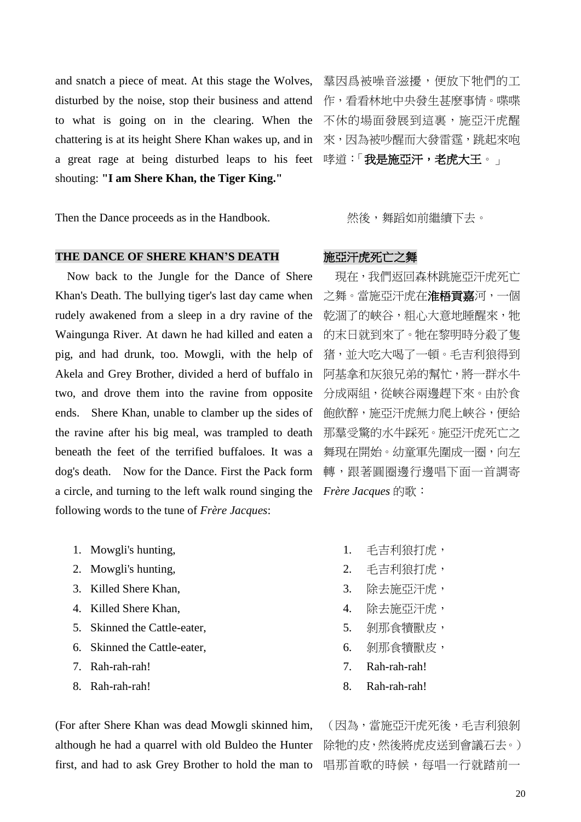and snatch a piece of meat. At this stage the Wolves, disturbed by the noise, stop their business and attend to what is going on in the clearing. When the chattering is at its height Shere Khan wakes up, and in a great rage at being disturbed leaps to his feet shouting: **"I am Shere Khan, the Tiger King."**

Then the Dance proceeds as in the Handbook.

#### THE DANCE OF SHERE KHAN'S DEATH **施亞汗虎死亡**之舞

Now back to the Jungle for the Dance of Shere Khan's Death. The bullying tiger's last day came when rudely awakened from a sleep in a dry ravine of the Waingunga River. At dawn he had killed and eaten a pig, and had drunk, too. Mowgli, with the help of Akela and Grey Brother, divided a herd of buffalo in two, and drove them into the ravine from opposite ends. Shere Khan, unable to clamber up the sides of the ravine after his big meal, was trampled to death beneath the feet of the terrified buffaloes. It was a dog's death. Now for the Dance. First the Pack form a circle, and turning to the left walk round singing the following words to the tune of *Frère Jacques*:

- 1. Mowgli's hunting,
- 2. Mowgli's hunting,
- 3. Killed Shere Khan,
- 4. Killed Shere Khan,
- 5. Skinned the Cattle-eater,
- 6. Skinned the Cattle-eater,
- 7. Rah-rah-rah!
- 8. Rah-rah-rah!

(For after Shere Khan was dead Mowgli skinned him, although he had a quarrel with old Buldeo the Hunter first, and had to ask Grey Brother to hold the man to

羣因爲被噪音滋擾,便放下牠們的工 作,看看林地中央發生甚麼事情。喋喋 不休的場面發展到這裏,施亞汗虎醒 來,因為被吵醒而大發雷霆,跳起來咆 哮道:「我是施亞汗,老虎大王。」

然後,舞蹈如前繼續下去。

現在,我們返回森林跳施亞汗虎死亡 之舞。當施亞汗虎在淮梧貢嘉河,一個 乾涸了的峽谷,粗心大意地睡醒來,牠 的末日就到來了。牠在黎明時分殺了隻 猪,並大吃大喝了一頓。毛吉利狼得到 阿基拿和灰狼兄弟的幫忙,將一群水牛 分成兩組,從峽谷兩邊趕下來。由於食 飽飲醉,施亞汗虎無力爬上峽谷,便給 那羣受驚的水牛踩死。施亞汗虎死亡之 舞現在開始。幼童軍先圍成一圈,向左 轉,跟著圓圈邊行邊唱下面一首調寄 *Frère Jacques* 的歌:

- 1. 毛吉利狼打虎,
- 2. 毛吉利狼打虎,
- 3. 除去施亞汗虎,
- 4. 除去施亞汗虎,
- 5. 剝那食犢獸皮,
- 6. 剝那食犢獸皮,
- 7. Rah-rah-rah!
- 8. Rah-rah-rah!

(因為,當施亞汗虎死後,毛吉利狼剝 除牠的皮,然後將虎皮送到會議石去。) 唱那首歌的時候,每唱一行就踏前一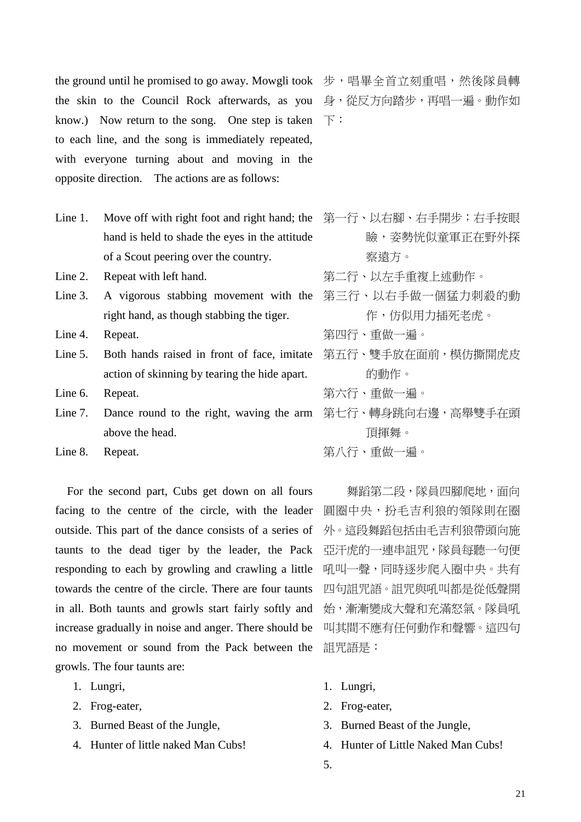the ground until he promised to go away. Mowgli took 步,唱畢全首立刻重唱,然後隊員轉 the skin to the Council Rock afterwards, as you 身,從反方向踏步,再唱一遍。動作如 know.) Now return to the song. One step is taken  $\top$ : to each line, and the song is immediately repeated, with everyone turning about and moving in the opposite direction. The actions are as follows:

- Line 1. Move off with right foot and right hand; the 第一行、以右腳、右手開步;右手按眼 hand is held to shade the eyes in the attitude of a Scout peering over the country.
- Line 2. Repeat with left hand.
- Line 3. A vigorous stabbing movement with the right hand, as though stabbing the tiger.
- Line 4. Repeat.
- Line 5. Both hands raised in front of face, imitate action of skinning by tearing the hide apart.
- Line 6. Repeat.
- Line 7. Dance round to the right, waving the arm 第七行、轉身跳向右邊,高舉雙手在頭 above the head.
- Line 8. Repeat.

For the second part, Cubs get down on all fours facing to the centre of the circle, with the leader outside. This part of the dance consists of a series of taunts to the dead tiger by the leader, the Pack responding to each by growling and crawling a little towards the centre of the circle. There are four taunts in all. Both taunts and growls start fairly softly and increase gradually in noise and anger. There should be no movement or sound from the Pack between the growls. The four taunts are:

- 1. Lungri,
- 2. Frog-eater,
- 3. Burned Beast of the Jungle,
- 4. Hunter of little naked Man Cubs!

- 瞼,姿勢恍似童軍正在野外探 察遠方。
- 第二行、以左手重複上述動作。
- 第三行、以右手做一個猛力刺殺的動 作,仿似用力插死老虎。
- 第四行、重做一遍。
- 第五行、雙手放在面前,模仿撕開虎皮 的動作。
- 第六行、重做一遍。
- 頂揮舞。
- 第八行、重做一遍。

舞蹈第二段,隊員四腳爬地,面向 圓圈中央,扮毛吉利狼的領隊則在圈 外。這段舞蹈包括由毛吉利狼帶頭向施 亞汗虎的一連串詛咒,隊員每聽一句便 吼叫一聲,同時逐步爬入圈中央。共有 四句詛咒語。詛咒與吼叫都是從低聲開 始,漸漸變成大聲和充滿怒氣。隊員吼 叫其間不應有任何動作和聲響。這四句 詛咒語是:

- 1. Lungri,
- 2. Frog-eater,
- 3. Burned Beast of the Jungle,
- 4. Hunter of Little Naked Man Cubs!
- 5.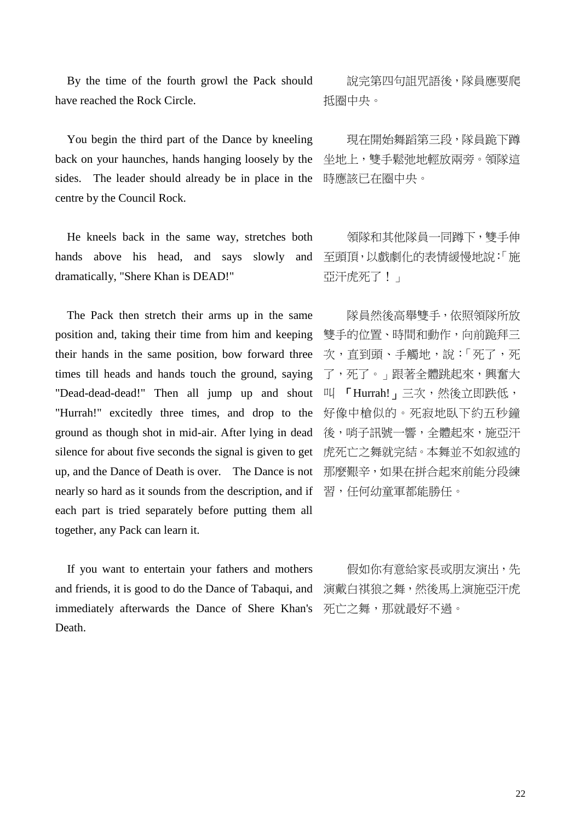By the time of the fourth growl the Pack should have reached the Rock Circle.

You begin the third part of the Dance by kneeling back on your haunches, hands hanging loosely by the sides. The leader should already be in place in the centre by the Council Rock.

He kneels back in the same way, stretches both hands above his head, and says slowly and dramatically, "Shere Khan is DEAD!"

The Pack then stretch their arms up in the same position and, taking their time from him and keeping their hands in the same position, bow forward three times till heads and hands touch the ground, saying "Dead-dead-dead!" Then all jump up and shout "Hurrah!" excitedly three times, and drop to the ground as though shot in mid-air. After lying in dead silence for about five seconds the signal is given to get up, and the Dance of Death is over. The Dance is not nearly so hard as it sounds from the description, and if each part is tried separately before putting them all together, any Pack can learn it.

 If you want to entertain your fathers and mothers and friends, it is good to do the Dance of Tabaqui, and immediately afterwards the Dance of Shere Khan's Death.

說完第四句詛咒語後,隊員應要爬 抵圈中央。

現在開始舞蹈第三段,隊員跪下蹲 坐地上,雙手鬆弛地輕放兩旁。領隊這 時應該已在圈中央。

領隊和其他隊員一同蹲下,雙手伸 至頭頂,以戲劇化的表情緩慢地說:「施 亞汗虎死了!」

隊員然後高舉雙手,依照領隊所放 雙手的位置、時間和動作,向前跪拜三 次,直到頭、手觸地,說:「死了,死 了,死了。」跟著全體跳起來,興奮大 叫 「Hurrah!」三次,然後立即跌低, 好像中槍似的。死寂地臥下約五秒鐘 後,哨子訊號一響,全體起來,施亞汗 虎死亡之舞就完結。本舞並不如叙述的 那麼艱辛,如果在拼合起來前能分段練 習,任何幼童軍都能勝任。

假如你有意給家長或朋友演出,先 演戴白祺狼之舞,然後馬上演施亞汗虎 死亡之舞,那就最好不過。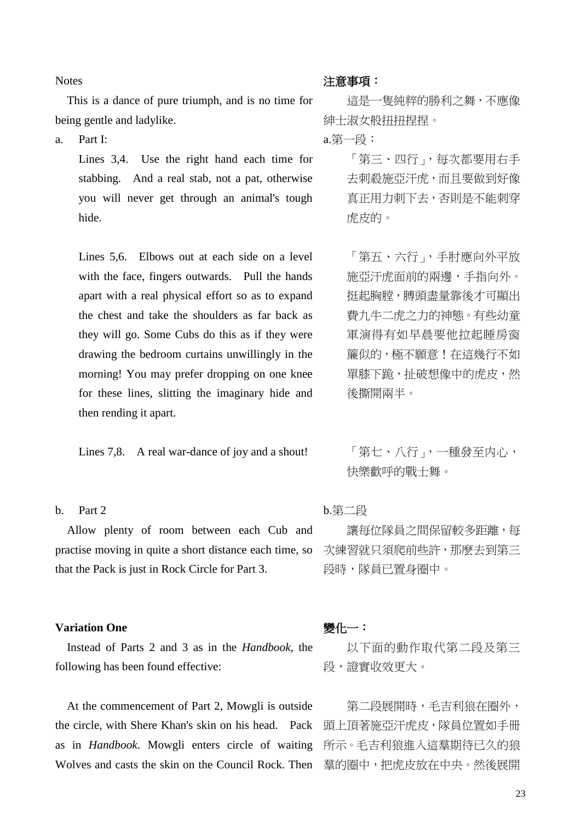**Notes** 

This is a dance of pure triumph, and is no time for being gentle and ladylike.

a. Part I:

Lines 3,4. Use the right hand each time for stabbing. And a real stab, not a pat, otherwise you will never get through an animal's tough hide.

Lines 5,6. Elbows out at each side on a level with the face, fingers outwards. Pull the hands apart with a real physical effort so as to expand the chest and take the shoulders as far back as they will go. Some Cubs do this as if they were drawing the bedroom curtains unwillingly in the morning! You may prefer dropping on one knee for these lines, slitting the imaginary hide and then rending it apart.

Lines 7,8. A real war-dance of joy and a shout!

## b. Part 2

Allow plenty of room between each Cub and practise moving in quite a short distance each time, so that the Pack is just in Rock Circle for Part 3.

#### **Variation One**

Instead of Parts 2 and 3 as in the *Handbook*, the following has been found effective:

At the commencement of Part 2, Mowgli is outside the circle, with Shere Khan's skin on his head. Pack as in *Handbook*. Mowgli enters circle of waiting Wolves and casts the skin on the Council Rock. Then

#### 注意事項:

這是一隻純粹的勝利之舞,不應像 紳士淑女般扭扭捏捏。

a.第一段:

「第三、四行」,每次都要用右手 去刺殺施亞汗虎,而且要做到好像 真正用力刺下去,否則是不能刺穿 虎皮的。

「第五、六行」,手肘應向外平放 施亞汗虎面前的兩邊,手指向外。 挺起胸膛, 膊頭盡量靠後才可顯出 費九牛二虎之力的神態。有些幼童 軍演得有如早晨要他拉起睡房窗 簾似的,極不願意!在這幾行不如 單膝下跪,扯破想像中的虎皮,然 後撕開兩半。

「第七、八行」,一種發至内心, 快樂歡呼的戰士舞。

## b.第二段

讓每位隊員之間保留較多距離,每 次練習就只須爬前些許,那麼去到第三 段時,隊員已置身圈中。

### 變化一:

以下面的動作取代第二段及第三 段,證實收效更大。

第二段展開時,毛吉利狼在圈外, 頭上頂著施亞汗虎皮,隊員位置如手冊 所示。毛吉利狼進入這羣期待已久的狼 羣的圈中,把虎皮放在中央。然後展開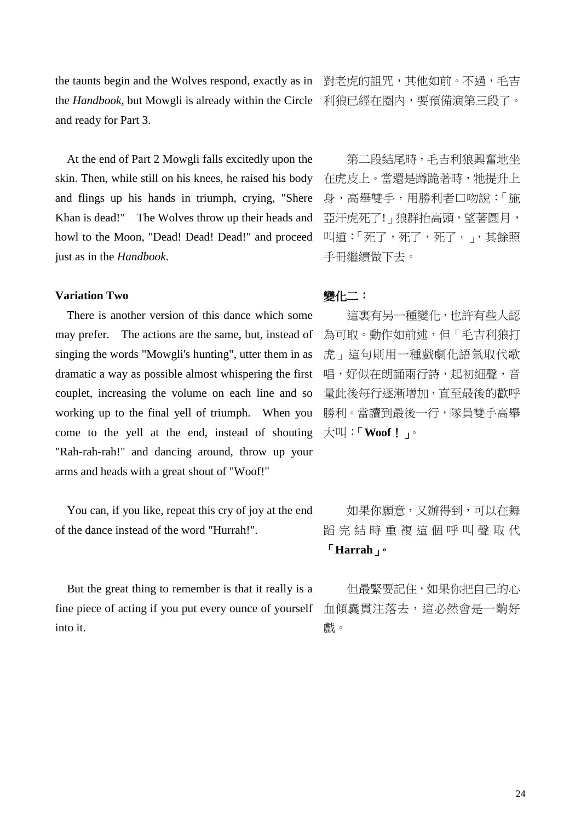the taunts begin and the Wolves respond, exactly as in "對老虎的詛咒,其他如前。不過,毛吉 the *Handbook*, but Mowgli is already within the Circle 利狼已經在圈內,要預備演第三段了。 and ready for Part 3.

At the end of Part 2 Mowgli falls excitedly upon the skin. Then, while still on his knees, he raised his body and flings up his hands in triumph, crying, "Shere Khan is dead!" The Wolves throw up their heads and howl to the Moon, "Dead! Dead! Dead!" and proceed just as in the *Handbook*.

## **Variation Two**

There is another version of this dance which some may prefer. The actions are the same, but, instead of singing the words "Mowgli's hunting", utter them in as dramatic a way as possible almost whispering the first couplet, increasing the volume on each line and so working up to the final yell of triumph. When you come to the yell at the end, instead of shouting "Rah-rah-rah!" and dancing around, throw up your arms and heads with a great shout of "Woof!"

You can, if you like, repeat this cry of joy at the end of the dance instead of the word "Hurrah!".

But the great thing to remember is that it really is a fine piece of acting if you put every ounce of yourself into it.

第二段結尾時,毛吉利狼興奮地坐 在虎皮上。當還是蹲跪著時,牠提升上 身,高舉雙手,用勝利者口吻說:「施 亞汗虎死了!」狼群抬高頭,望著圓月, 叫道:「死了,死了,死了。」,其餘照 手冊繼續做下去。

## 變化二:

這裏有另一種變化,也許有些人認 為可取。動作如前述,但「毛吉利狼打 虎」這句則用一種戲劇化語氣取代歌 唱,好似在朗誦兩行詩,起初細聲,音 量此後每行逐漸增加,直至最後的歡呼 勝利。當讀到最後一行,隊員雙手高舉 大叫:「**Woof**!」。

如果你願意,又辦得到,可以在舞 蹈 完 結 時 重 複 這 個 呼 叫 聲 取 代 「**Harrah**」。

但最緊要記住,如果你把自己的心 血傾囊貫注落去,這必然會是一齣好 戲。